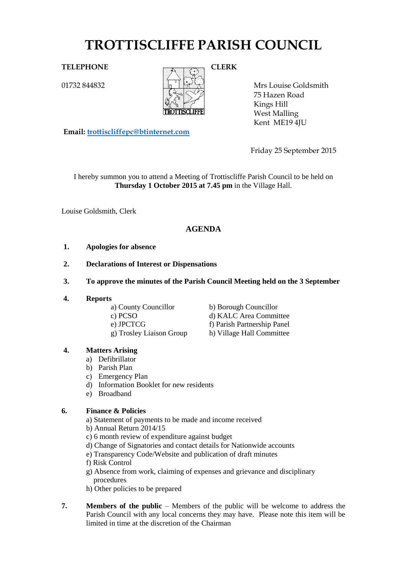# **TROTTISCLIFFE PARISH COUNCIL**

01732 844832



Mrs Louise Goldsmith 75 Hazen Road Kings Hill West Malling Kent ME19 4JU

**Email: [trottiscliffepc@btinternet.com](mailto:trottiscliffepc@btinternet.com)**

Friday 25 September 2015

I hereby summon you to attend a Meeting of Trottiscliffe Parish Council to be held on **Thursday 1 October 2015 at 7.45 pm** in the Village Hall.

Louise Goldsmith, Clerk

# **AGENDA**

- **1. Apologies for absence**
- **2. Declarations of Interest or Dispensations**
- **3. To approve the minutes of the Parish Council Meeting held on the 3 September**
- **4. Reports**

a) County Councillor b) Borough Councillor

c) PCSO d) KALC Area Committee e) JPCTCG f) Parish Partnership Panel g) Trosley Liaison Group h) Village Hall Committee

# **4. Matters Arising**

- a) Defibrillator
- b) Parish Plan
- c) Emergency Plan
- d) Information Booklet for new residents
- e) Broadband

# **6. Finance & Policies**

a) Statement of payments to be made and income received

b) Annual Return 2014/15

- c) 6 month review of expenditure against budget
- d) Change of Signatories and contact details for Nationwide accounts
- e) Transparency Code/Website and publication of draft minutes
- f) Risk Control
- g) Absence from work, claiming of expenses and grievance and disciplinary procedures
- h) Other policies to be prepared
- **7. Members of the public** Members of the public will be welcome to address the Parish Council with any local concerns they may have. Please note this item will be limited in time at the discretion of the Chairman